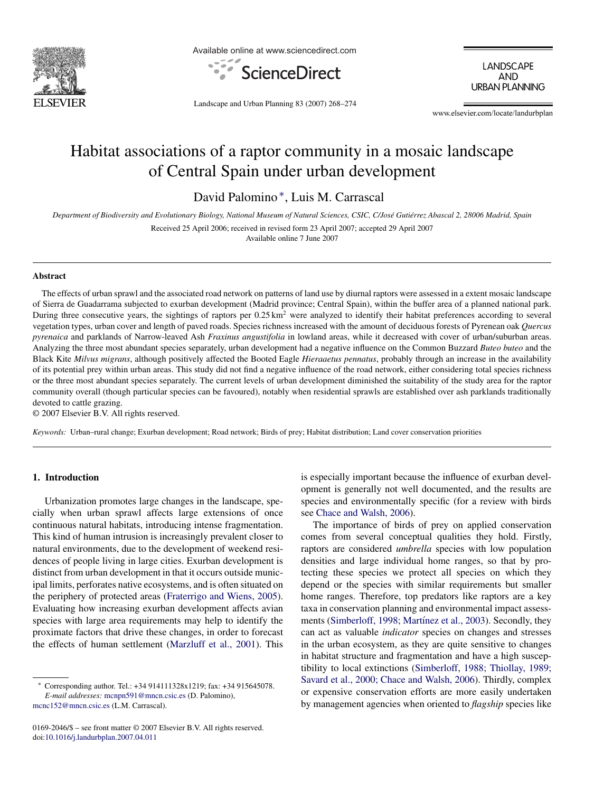

Available online at www.sciencedirect.com



LANDSCAPE **AND URBAN PLANNING** 

Landscape and Urban Planning 83 (2007) 268–274

www.elsevier.com/locate/landurbplan

# Habitat associations of a raptor community in a mosaic landscape of Central Spain under urban development

David Palomino ∗, Luis M. Carrascal

Department of Biodiversity and Evolutionary Biology, National Museum of Natural Sciences, CSIC, C/José Gutiérrez Abascal 2, 28006 Madrid, Spain

Received 25 April 2006; received in revised form 23 April 2007; accepted 29 April 2007

Available online 7 June 2007

#### **Abstract**

The effects of urban sprawl and the associated road network on patterns of land use by diurnal raptors were assessed in a extent mosaic landscape of Sierra de Guadarrama subjected to exurban development (Madrid province; Central Spain), within the buffer area of a planned national park. During three consecutive years, the sightings of raptors per 0.25 km<sup>2</sup> were analyzed to identify their habitat preferences according to several vegetation types, urban cover and length of paved roads. Species richness increased with the amount of deciduous forests of Pyrenean oak *Quercus pyrenaica* and parklands of Narrow-leaved Ash *Fraxinus angustifolia* in lowland areas, while it decreased with cover of urban/suburban areas. Analyzing the three most abundant species separately, urban development had a negative influence on the Common Buzzard *Buteo buteo* and the Black Kite *Milvus migrans*, although positively affected the Booted Eagle *Hieraaetus pennatus*, probably through an increase in the availability of its potential prey within urban areas. This study did not find a negative influence of the road network, either considering total species richness or the three most abundant species separately. The current levels of urban development diminished the suitability of the study area for the raptor community overall (though particular species can be favoured), notably when residential sprawls are established over ash parklands traditionally devoted to cattle grazing.

© 2007 Elsevier B.V. All rights reserved.

*Keywords:* Urban–rural change; Exurban development; Road network; Birds of prey; Habitat distribution; Land cover conservation priorities

# **1. Introduction**

Urbanization promotes large changes in the landscape, specially when urban sprawl affects large extensions of once continuous natural habitats, introducing intense fragmentation. This kind of human intrusion is increasingly prevalent closer to natural environments, due to the development of weekend residences of people living in large cities. Exurban development is distinct from urban development in that it occurs outside municipal limits, perforates native ecosystems, and is often situated on the periphery of protected areas [\(Fraterrigo and Wiens, 2005\).](#page-5-0) Evaluating how increasing exurban development affects avian species with large area requirements may help to identify the proximate factors that drive these changes, in order to forecast the effects of human settlement [\(Marzluff et al., 2001\).](#page-6-0) This

0169-2046/\$ – see front matter © 2007 Elsevier B.V. All rights reserved. doi[:10.1016/j.landurbplan.2007.04.011](dx.doi.org/10.1016/j.landurbplan.2007.04.011)

is especially important because the influence of exurban development is generally not well documented, and the results are species and environmentally specific (for a review with birds see [Chace and Walsh, 2006\).](#page-5-0)

The importance of birds of prey on applied conservation comes from several conceptual qualities they hold. Firstly, raptors are considered *umbrella* species with low population densities and large individual home ranges, so that by protecting these species we protect all species on which they depend or the species with similar requirements but smaller home ranges. Therefore, top predators like raptors are a key taxa in conservation planning and environmental impact assessments (Simberloff, 1998; Martínez et al., 2003). Secondly, they can act as valuable *indicator* species on changes and stresses in the urban ecosystem, as they are quite sensitive to changes in habitat structure and fragmentation and have a high susceptibility to local extinctions [\(Simberloff, 1988; Thiollay, 1989;](#page-6-0) [Savard et al., 2000; Chace and Walsh, 2006\).](#page-6-0) Thirdly, complex or expensive conservation efforts are more easily undertaken by management agencies when oriented to *flagship* species like

<sup>∗</sup> Corresponding author. Tel.: +34 914111328x1219; fax: +34 915645078. *E-mail addresses:* [mcnpn591@mncn.csic.es](mailto:mcnpn591@mncn.csic.es) (D. Palomino), [mcnc152@mncn.csic.es](mailto:mcnc152@mncn.csic.es) (L.M. Carrascal).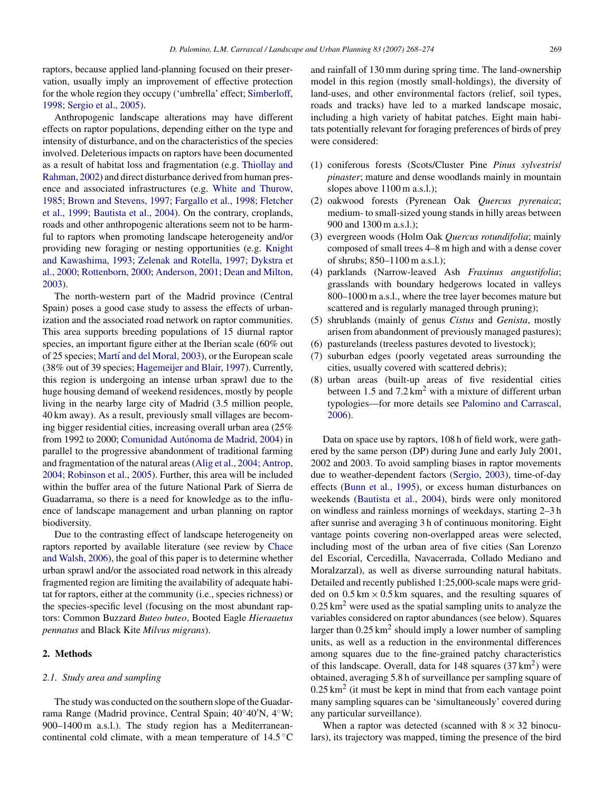raptors, because applied land-planning focused on their preservation, usually imply an improvement of effective protection for the whole region they occupy ('umbrella' effect; [Simberloff,](#page-6-0) [1998; Sergio et al., 2005\).](#page-6-0)

Anthropogenic landscape alterations may have different effects on raptor populations, depending either on the type and intensity of disturbance, and on the characteristics of the species involved. Deleterious impacts on raptors have been documented as a result of habitat loss and fragmentation (e.g. [Thiollay and](#page-6-0) [Rahman, 2002\) a](#page-6-0)nd direct disturbance derived from human presence and associated infrastructures (e.g. [White and Thurow,](#page-6-0) [1985; Brown and Stevens, 1997; Fargallo et al., 1998; Fletcher](#page-6-0) [et al., 1999; Bautista et al., 2004\).](#page-6-0) On the contrary, croplands, roads and other anthropogenic alterations seem not to be harmful to raptors when promoting landscape heterogeneity and/or providing new foraging or nesting opportunities (e.g. [Knight](#page-6-0) [and Kawashima, 1993; Zelenak and Rotella, 1997; Dykstra et](#page-6-0) [al., 2000; Rottenborn, 2000; Anderson, 2001; Dean and Milton,](#page-6-0) [2003\).](#page-6-0)

The north-western part of the Madrid province (Central Spain) poses a good case study to assess the effects of urbanization and the associated road network on raptor communities. This area supports breeding populations of 15 diurnal raptor species, an important figure either at the Iberian scale (60% out of 25 species; Martí and del Moral, 2003), or the European scale (38% out of 39 species; [Hagemeijer and Blair, 1997\).](#page-5-0) Currently, this region is undergoing an intense urban sprawl due to the huge housing demand of weekend residences, mostly by people living in the nearby large city of Madrid (3.5 million people, 40 km away). As a result, previously small villages are becoming bigger residential cities, increasing overall urban area (25% from 1992 to 2000; Comunidad Autónoma de Madrid, 2004) in parallel to the progressive abandonment of traditional farming and fragmentation of the natural areas ([Alig et al., 2004; Antrop,](#page-5-0) [2004; Robinson et al., 2005\).](#page-5-0) Further, this area will be included within the buffer area of the future National Park of Sierra de Guadarrama, so there is a need for knowledge as to the influence of landscape management and urban planning on raptor biodiversity.

Due to the contrasting effect of landscape heterogeneity on raptors reported by available literature (see review by [Chace](#page-5-0) [and Walsh, 2006\),](#page-5-0) the goal of this paper is to determine whether urban sprawl and/or the associated road network in this already fragmented region are limiting the availability of adequate habitat for raptors, either at the community (i.e., species richness) or the species-specific level (focusing on the most abundant raptors: Common Buzzard *Buteo buteo*, Booted Eagle *Hieraaetus pennatus* and Black Kite *Milvus migrans*).

### **2. Methods**

## *2.1. Study area and sampling*

The study was conducted on the southern slope of the Guadarrama Range (Madrid province, Central Spain; 40◦40 N, 4◦W; 900–1400 m a.s.l.). The study region has a Mediterraneancontinental cold climate, with a mean temperature of  $14.5\textdegree C$  and rainfall of 130 mm during spring time. The land-ownership model in this region (mostly small-holdings), the diversity of land-uses, and other environmental factors (relief, soil types, roads and tracks) have led to a marked landscape mosaic, including a high variety of habitat patches. Eight main habitats potentially relevant for foraging preferences of birds of prey were considered:

- (1) coniferous forests (Scots/Cluster Pine *Pinus sylvestris*/ *pinaster*; mature and dense woodlands mainly in mountain slopes above 1100 m a.s.l.);
- (2) oakwood forests (Pyrenean Oak *Quercus pyrenaica*; medium- to small-sized young stands in hilly areas between 900 and 1300 m a.s.l.);
- (3) evergreen woods (Holm Oak *Quercus rotundifolia*; mainly composed of small trees 4–8 m high and with a dense cover of shrubs; 850–1100 m a.s.l.);
- (4) parklands (Narrow-leaved Ash *Fraxinus angustifolia*; grasslands with boundary hedgerows located in valleys 800–1000 m a.s.l., where the tree layer becomes mature but scattered and is regularly managed through pruning);
- (5) shrublands (mainly of genus *Cistus* and *Genista*, mostly arisen from abandonment of previously managed pastures);
- (6) pasturelands (treeless pastures devoted to livestock);
- (7) suburban edges (poorly vegetated areas surrounding the cities, usually covered with scattered debris);
- (8) urban areas (built-up areas of five residential cities between 1.5 and  $7.2 \text{ km}^2$  with a mixture of different urban typologies—for more details see [Palomino and Carrascal,](#page-6-0) [2006\).](#page-6-0)

Data on space use by raptors, 108 h of field work, were gathered by the same person (DP) during June and early July 2001, 2002 and 2003. To avoid sampling biases in raptor movements due to weather-dependent factors [\(Sergio, 2003\),](#page-6-0) time-of-day effects ([Bunn et al., 1995\),](#page-5-0) or excess human disturbances on weekends [\(Bautista et al., 2004\),](#page-5-0) birds were only monitored on windless and rainless mornings of weekdays, starting 2–3 h after sunrise and averaging 3 h of continuous monitoring. Eight vantage points covering non-overlapped areas were selected, including most of the urban area of five cities (San Lorenzo del Escorial, Cercedilla, Navacerrada, Collado Mediano and Moralzarzal), as well as diverse surrounding natural habitats. Detailed and recently published 1:25,000-scale maps were gridded on  $0.5 \text{ km} \times 0.5 \text{ km}$  squares, and the resulting squares of  $0.25 \text{ km}^2$  were used as the spatial sampling units to analyze the variables considered on raptor abundances (see below). Squares larger than  $0.25 \text{ km}^2$  should imply a lower number of sampling units, as well as a reduction in the environmental differences among squares due to the fine-grained patchy characteristics of this landscape. Overall, data for  $148$  squares  $(37 \text{ km}^2)$  were obtained, averaging 5.8 h of surveillance per sampling square of  $0.25 \text{ km}^2$  (it must be kept in mind that from each vantage point many sampling squares can be 'simultaneously' covered during any particular surveillance).

When a raptor was detected (scanned with  $8 \times 32$  binoculars), its trajectory was mapped, timing the presence of the bird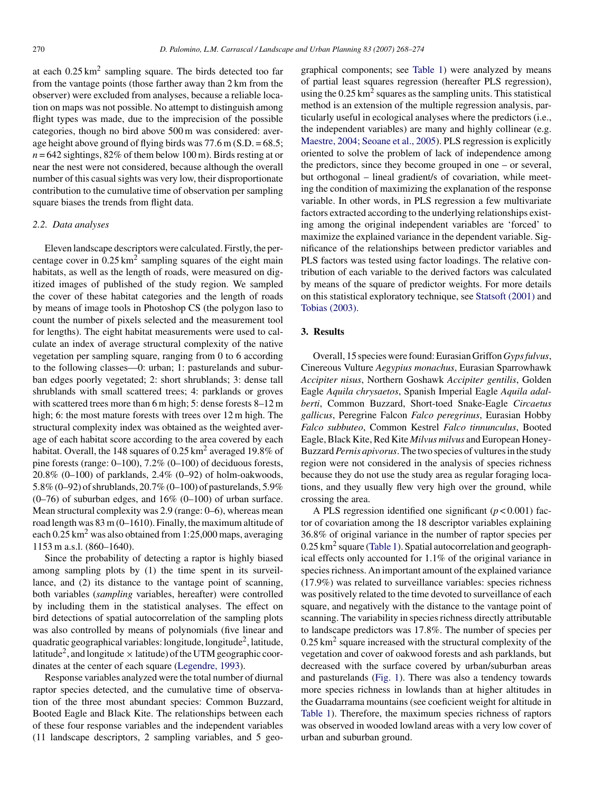at each  $0.25 \text{ km}^2$  sampling square. The birds detected too far from the vantage points (those farther away than 2 km from the observer) were excluded from analyses, because a reliable location on maps was not possible. No attempt to distinguish among flight types was made, due to the imprecision of the possible categories, though no bird above 500 m was considered: average height above ground of flying birds was  $77.6$  m (S.D. =  $68.5$ ;  $n = 642$  sightings, 82% of them below 100 m). Birds resting at or near the nest were not considered, because although the overall number of this casual sights was very low, their disproportionate contribution to the cumulative time of observation per sampling square biases the trends from flight data.

## *2.2. Data analyses*

Eleven landscape descriptors were calculated. Firstly, the percentage cover in  $0.25 \text{ km}^2$  sampling squares of the eight main habitats, as well as the length of roads, were measured on digitized images of published of the study region. We sampled the cover of these habitat categories and the length of roads by means of image tools in Photoshop CS (the polygon laso to count the number of pixels selected and the measurement tool for lengths). The eight habitat measurements were used to calculate an index of average structural complexity of the native vegetation per sampling square, ranging from 0 to 6 according to the following classes—0: urban; 1: pasturelands and suburban edges poorly vegetated; 2: short shrublands; 3: dense tall shrublands with small scattered trees; 4: parklands or groves with scattered trees more than 6 m high; 5: dense forests 8–12 m high; 6: the most mature forests with trees over 12 m high. The structural complexity index was obtained as the weighted average of each habitat score according to the area covered by each habitat. Overall, the 148 squares of 0.25 km<sup>2</sup> averaged 19.8% of pine forests (range: 0–100), 7.2% (0–100) of deciduous forests, 20.8% (0–100) of parklands, 2.4% (0–92) of holm-oakwoods, 5.8% (0–92) of shrublands, 20.7% (0–100) of pasturelands, 5.9%  $(0-76)$  of suburban edges, and  $16\%$   $(0-100)$  of urban surface. Mean structural complexity was 2.9 (range: 0–6), whereas mean road length was 83 m (0–1610). Finally, the maximum altitude of each  $0.25 \text{ km}^2$  was also obtained from 1:25,000 maps, averaging 1153 m a.s.l. (860–1640).

Since the probability of detecting a raptor is highly biased among sampling plots by (1) the time spent in its surveillance, and (2) its distance to the vantage point of scanning, both variables (*sampling* variables, hereafter) were controlled by including them in the statistical analyses. The effect on bird detections of spatial autocorrelation of the sampling plots was also controlled by means of polynomials (five linear and quadratic geographical variables: longitude, longitude<sup>2</sup>, latitude, latitude<sup>2</sup>, and longitude  $\times$  latitude) of the UTM geographic coordinates at the center of each square [\(Legendre, 1993\).](#page-6-0)

Response variables analyzed were the total number of diurnal raptor species detected, and the cumulative time of observation of the three most abundant species: Common Buzzard, Booted Eagle and Black Kite. The relationships between each of these four response variables and the independent variables (11 landscape descriptors, 2 sampling variables, and 5 geographical components; see [Table 1\)](#page-3-0) were analyzed by means of partial least squares regression (hereafter PLS regression), using the  $0.25 \text{ km}^2$  squares as the sampling units. This statistical method is an extension of the multiple regression analysis, particularly useful in ecological analyses where the predictors (i.e., the independent variables) are many and highly collinear (e.g. [Maestre, 2004; Seoane et al., 2005\).](#page-6-0) PLS regression is explicitly oriented to solve the problem of lack of independence among the predictors, since they become grouped in one – or several, but orthogonal – lineal gradient/s of covariation, while meeting the condition of maximizing the explanation of the response variable. In other words, in PLS regression a few multivariate factors extracted according to the underlying relationships existing among the original independent variables are 'forced' to maximize the explained variance in the dependent variable. Significance of the relationships between predictor variables and PLS factors was tested using factor loadings. The relative contribution of each variable to the derived factors was calculated by means of the square of predictor weights. For more details on this statistical exploratory technique, see [Statsoft \(2001\)](#page-6-0) and [Tobias \(2003\).](#page-6-0)

# **3. Results**

Overall, 15 species were found: Eurasian Griffon *Gyps fulvus*, Cinereous Vulture *Aegypius monachus*, Eurasian Sparrowhawk *Accipiter nisus*, Northern Goshawk *Accipiter gentilis*, Golden Eagle *Aquila chrysaetos*, Spanish Imperial Eagle *Aquila adalberti*, Common Buzzard, Short-toed Snake-Eagle *Circaetus gallicus*, Peregrine Falcon *Falco peregrinus*, Eurasian Hobby *Falco subbuteo*, Common Kestrel *Falco tinnunculus*, Booted Eagle, Black Kite, Red Kite *Milvus milvus* and European Honey-Buzzard*Pernis apivorus*. The two species of vultures in the study region were not considered in the analysis of species richness because they do not use the study area as regular foraging locations, and they usually flew very high over the ground, while crossing the area.

A PLS regression identified one significant  $(p < 0.001)$  factor of covariation among the 18 descriptor variables explaining 36.8% of original variance in the number of raptor species per  $0.25 \text{ km}^2$  square [\(Table 1\).](#page-3-0) Spatial autocorrelation and geographical effects only accounted for 1.1% of the original variance in species richness. An important amount of the explained variance (17.9%) was related to surveillance variables: species richness was positively related to the time devoted to surveillance of each square, and negatively with the distance to the vantage point of scanning. The variability in species richness directly attributable to landscape predictors was 17.8%. The number of species per  $0.25 \text{ km}^2$  square increased with the structural complexity of the vegetation and cover of oakwood forests and ash parklands, but decreased with the surface covered by urban/suburban areas and pasturelands [\(Fig. 1\).](#page-3-0) There was also a tendency towards more species richness in lowlands than at higher altitudes in the Guadarrama mountains (see coeficient weight for altitude in [Table 1\).](#page-3-0) Therefore, the maximum species richness of raptors was observed in wooded lowland areas with a very low cover of urban and suburban ground.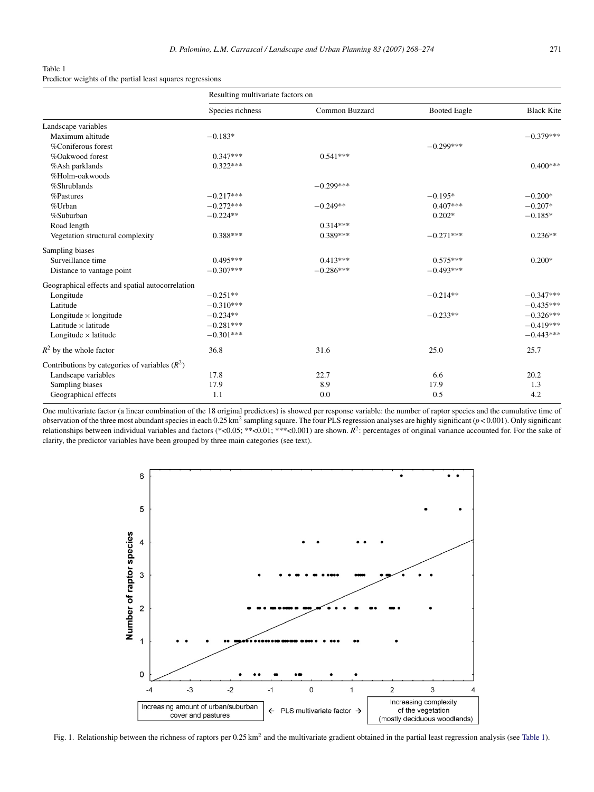#### <span id="page-3-0"></span>Table 1 Predictor weights of the partial least squares regressions

|                                                  | Resulting multivariate factors on |                |                     |                   |
|--------------------------------------------------|-----------------------------------|----------------|---------------------|-------------------|
|                                                  | Species richness                  | Common Buzzard | <b>Booted Eagle</b> | <b>Black Kite</b> |
| Landscape variables                              |                                   |                |                     |                   |
| Maximum altitude                                 | $-0.183*$                         |                |                     | $-0.379***$       |
| %Coniferous forest                               |                                   |                | $-0.299***$         |                   |
| %Oakwood forest                                  | $0.347***$                        | $0.541***$     |                     |                   |
| %Ash parklands                                   | $0.322***$                        |                |                     | $0.400***$        |
| %Holm-oakwoods                                   |                                   |                |                     |                   |
| %Shrublands                                      |                                   | $-0.299***$    |                     |                   |
| %Pastures                                        | $-0.217***$                       |                | $-0.195*$           | $-0.200*$         |
| %Urban                                           | $-0.272***$                       | $-0.249**$     | $0.407***$          | $-0.207*$         |
| %Suburban                                        | $-0.224**$                        |                | $0.202*$            | $-0.185*$         |
| Road length                                      |                                   | $0.314***$     |                     |                   |
| Vegetation structural complexity                 | $0.388***$                        | $0.389***$     | $-0.271***$         | $0.236**$         |
| Sampling biases                                  |                                   |                |                     |                   |
| Surveillance time                                | $0.495***$                        | $0.413***$     | $0.575***$          | $0.200*$          |
| Distance to vantage point                        | $-0.307***$                       | $-0.286***$    | $-0.493***$         |                   |
| Geographical effects and spatial autocorrelation |                                   |                |                     |                   |
| Longitude                                        | $-0.251**$                        |                | $-0.214**$          | $-0.347***$       |
| Latitude                                         | $-0.310***$                       |                |                     | $-0.435***$       |
| Longitude $\times$ longitude                     | $-0.234**$                        |                | $-0.233**$          | $-0.326***$       |
| Latitude $\times$ latitude                       | $-0.281***$                       |                |                     | $-0.419***$       |
| Longitude $\times$ latitude                      | $-0.301***$                       |                |                     | $-0.443***$       |
| $R^2$ by the whole factor                        | 36.8                              | 31.6           | 25.0                | 25.7              |
| Contributions by categories of variables $(R^2)$ |                                   |                |                     |                   |
| Landscape variables                              | 17.8                              | 22.7           | 6.6                 | 20.2              |
| Sampling biases                                  | 17.9                              | 8.9            | 17.9                | 1.3               |
| Geographical effects                             | 1.1                               | 0.0            | 0.5                 | 4.2               |

One multivariate factor (a linear combination of the 18 original predictors) is showed per response variable: the number of raptor species and the cumulative time of observation of the three most abundant species in each 0.25 km2 sampling square. The four PLS regression analyses are highly significant (*p* < 0.001). Only significant relationships between individual variables and factors (\*<0.05; \*\*<0.01; \*\*\*<0.001) are shown.  $R^2$ : percentages of original variance accounted for. For the sake of clarity, the predictor variables have been grouped by three main categories (see text).



Fig. 1. Relationship between the richness of raptors per  $0.25 \text{ km}^2$  and the multivariate gradient obtained in the partial least regression analysis (see Table 1).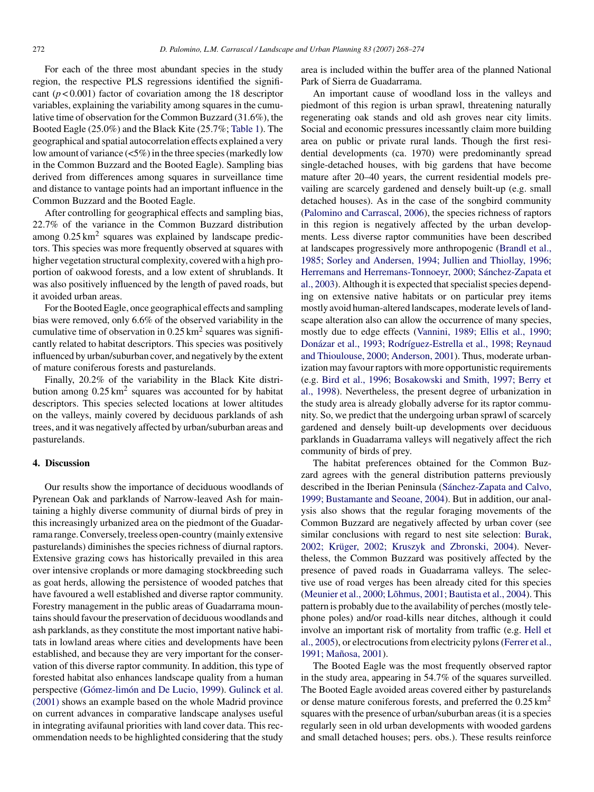For each of the three most abundant species in the study region, the respective PLS regressions identified the significant (*p* < 0.001) factor of covariation among the 18 descriptor variables, explaining the variability among squares in the cumulative time of observation for the Common Buzzard (31.6%), the Booted Eagle (25.0%) and the Black Kite (25.7%; [Table 1\).](#page-3-0) The geographical and spatial autocorrelation effects explained a very low amount of variance (<5%) in the three species (markedly low in the Common Buzzard and the Booted Eagle). Sampling bias derived from differences among squares in surveillance time and distance to vantage points had an important influence in the Common Buzzard and the Booted Eagle.

After controlling for geographical effects and sampling bias, 22.7% of the variance in the Common Buzzard distribution among  $0.25 \text{ km}^2$  squares was explained by landscape predictors. This species was more frequently observed at squares with higher vegetation structural complexity, covered with a high proportion of oakwood forests, and a low extent of shrublands. It was also positively influenced by the length of paved roads, but it avoided urban areas.

For the Booted Eagle, once geographical effects and sampling bias were removed, only 6.6% of the observed variability in the cumulative time of observation in  $0.25 \text{ km}^2$  squares was significantly related to habitat descriptors. This species was positively influenced by urban/suburban cover, and negatively by the extent of mature coniferous forests and pasturelands.

Finally, 20.2% of the variability in the Black Kite distribution among  $0.25 \text{ km}^2$  squares was accounted for by habitat descriptors. This species selected locations at lower altitudes on the valleys, mainly covered by deciduous parklands of ash trees, and it was negatively affected by urban/suburban areas and pasturelands.

# **4. Discussion**

Our results show the importance of deciduous woodlands of Pyrenean Oak and parklands of Narrow-leaved Ash for maintaining a highly diverse community of diurnal birds of prey in this increasingly urbanized area on the piedmont of the Guadarrama range. Conversely, treeless open-country (mainly extensive pasturelands) diminishes the species richness of diurnal raptors. Extensive grazing cows has historically prevailed in this area over intensive croplands or more damaging stockbreeding such as goat herds, allowing the persistence of wooded patches that have favoured a well established and diverse raptor community. Forestry management in the public areas of Guadarrama mountains should favour the preservation of deciduous woodlands and ash parklands, as they constitute the most important native habitats in lowland areas where cities and developments have been established, and because they are very important for the conservation of this diverse raptor community. In addition, this type of forested habitat also enhances landscape quality from a human perspective (Gómez-limón [and De Lucio, 1999](#page-5-0)). [Gulinck et al.](#page-5-0) [\(2001\)](#page-5-0) shows an example based on the whole Madrid province on current advances in comparative landscape analyses useful in integrating avifaunal priorities with land cover data. This recommendation needs to be highlighted considering that the study

area is included within the buffer area of the planned National Park of Sierra de Guadarrama.

An important cause of woodland loss in the valleys and piedmont of this region is urban sprawl, threatening naturally regenerating oak stands and old ash groves near city limits. Social and economic pressures incessantly claim more building area on public or private rural lands. Though the first residential developments (ca. 1970) were predominantly spread single-detached houses, with big gardens that have become mature after 20–40 years, the current residential models prevailing are scarcely gardened and densely built-up (e.g. small detached houses). As in the case of the songbird community [\(Palomino and Carrascal, 2006\),](#page-6-0) the species richness of raptors in this region is negatively affected by the urban developments. Less diverse raptor communities have been described at landscapes progressively more anthropogenic ([Brandl et al.,](#page-5-0) [1985; Sorley and Andersen, 1994; Jullien and Thiollay, 1996;](#page-5-0) Herremans and Herremans-Tonnoeyr, 2000; Sánchez-Zapata et [al., 2003\).](#page-5-0) Although it is expected that specialist species depending on extensive native habitats or on particular prey items mostly avoid human-altered landscapes, moderate levels of landscape alteration also can allow the occurrence of many species, mostly due to edge effects ([Vannini, 1989; Ellis et al., 1990;](#page-6-0) Donázar et al., 1993; Rodríguez-Estrella et al., 1998; Reynaud [and Thioulouse, 2000; Anderson, 2001\).](#page-6-0) Thus, moderate urbanization may favour raptors with more opportunistic requirements (e.g. [Bird et al., 1996; Bosakowski and Smith, 1997; Berry et](#page-5-0) [al., 1998\).](#page-5-0) Nevertheless, the present degree of urbanization in the study area is already globally adverse for its raptor community. So, we predict that the undergoing urban sprawl of scarcely gardened and densely built-up developments over deciduous parklands in Guadarrama valleys will negatively affect the rich community of birds of prey.

The habitat preferences obtained for the Common Buzzard agrees with the general distribution patterns previously described in the Iberian Peninsula (Sánchez-Zapata and Calvo, [1999; Bustamante and Seoane, 2004\).](#page-6-0) But in addition, our analysis also shows that the regular foraging movements of the Common Buzzard are negatively affected by urban cover (see similar conclusions with regard to nest site selection: [Burak,](#page-5-0) 2002; Krüger, 2002; Kruszyk and Zbronski, 2004). Nevertheless, the Common Buzzard was positively affected by the presence of paved roads in Guadarrama valleys. The selective use of road verges has been already cited for this species (Meunier et al., 2000; Lõhmus, 2001; Bautista et al., 2004). This pattern is probably due to the availability of perches (mostly telephone poles) and/or road-kills near ditches, although it could involve an important risk of mortality from traffic (e.g. [Hell et](#page-5-0) [al., 2005\),](#page-5-0) or electrocutions from electricity pylons ([Ferrer et al.,](#page-5-0) 1991; Mañosa, 2001).

The Booted Eagle was the most frequently observed raptor in the study area, appearing in 54.7% of the squares surveilled. The Booted Eagle avoided areas covered either by pasturelands or dense mature coniferous forests, and preferred the  $0.25 \text{ km}^2$ squares with the presence of urban/suburban areas (it is a species regularly seen in old urban developments with wooded gardens and small detached houses; pers. obs.). These results reinforce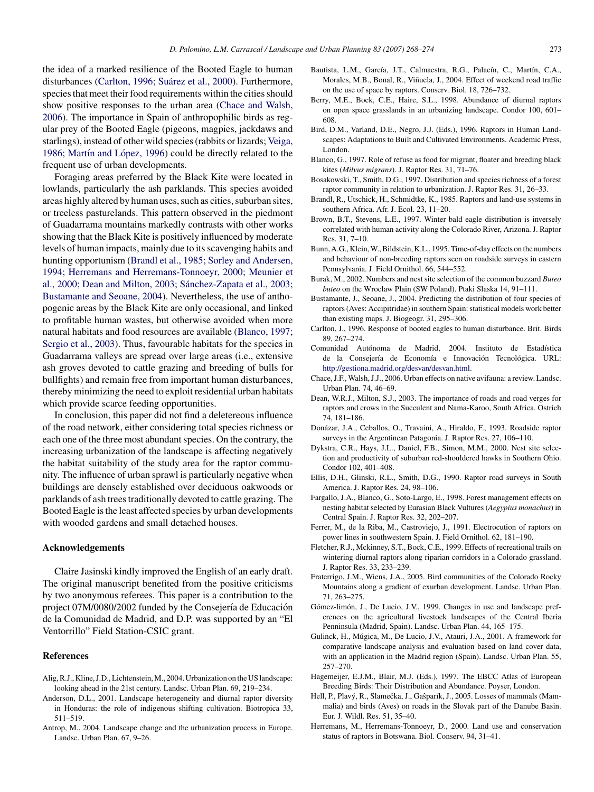<span id="page-5-0"></span>the idea of a marked resilience of the Booted Eagle to human disturbances (Carlton, 1996; Suárez et al., 2000). Furthermore, species that meet their food requirements within the cities should show positive responses to the urban area (Chace and Walsh, 2006). The importance in Spain of anthropophilic birds as regular prey of the Booted Eagle (pigeons, magpies, jackdaws and starlings), instead of other wild species (rabbits or lizards; [Veiga,](#page-6-0) 1986; Martín and López, 1996) could be directly related to the frequent use of urban developments.

Foraging areas preferred by the Black Kite were located in lowlands, particularly the ash parklands. This species avoided areas highly altered by human uses, such as cities, suburban sites, or treeless pasturelands. This pattern observed in the piedmont of Guadarrama mountains markedly contrasts with other works showing that the Black Kite is positively influenced by moderate levels of human impacts, mainly due to its scavenging habits and hunting opportunism (Brandl et al., 1985; Sorley and Andersen, 1994; Herremans and Herremans-Tonnoeyr, 2000; Meunier et al., 2000; Dean and Milton, 2003; Sánchez-Zapata et al., 2003; Bustamante and Seoane, 2004). Nevertheless, the use of anthopogenic areas by the Black Kite are only occasional, and linked to profitable human wastes, but otherwise avoided when more natural habitats and food resources are available (Blanco, 1997; Sergio et al., 2003). Thus, favourable habitats for the species in Guadarrama valleys are spread over large areas (i.e., extensive ash groves devoted to cattle grazing and breeding of bulls for bullfights) and remain free from important human disturbances, thereby minimizing the need to exploit residential urban habitats which provide scarce feeding opportunities.

In conclusion, this paper did not find a deletereous influence of the road network, either considering total species richness or each one of the three most abundant species. On the contrary, the increasing urbanization of the landscape is affecting negatively the habitat suitability of the study area for the raptor community. The influence of urban sprawl is particularly negative when buildings are densely established over deciduous oakwoods or parklands of ash trees traditionally devoted to cattle grazing. The Booted Eagle is the least affected species by urban developments with wooded gardens and small detached houses.

#### **Acknowledgements**

Claire Jasinski kindly improved the English of an early draft. The original manuscript benefited from the positive criticisms by two anonymous referees. This paper is a contribution to the project 07M/0080/2002 funded by the Consejería de Educación de la Comunidad de Madrid, and D.P. was supported by an "El Ventorrillo" Field Station-CSIC grant.

### **References**

- Alig, R.J., Kline, J.D., Lichtenstein, M., 2004. Urbanization on the US landscape: looking ahead in the 21st century. Landsc. Urban Plan. 69, 219–234.
- Anderson, D.L., 2001. Landscape heterogeneity and diurnal raptor diversity in Honduras: the role of indigenous shifting cultivation. Biotropica 33, 511–519.
- Antrop, M., 2004. Landscape change and the urbanization process in Europe. Landsc. Urban Plan. 67, 9–26.
- Bautista, L.M., García, J.T., Calmaestra, R.G., Palacín, C., Martín, C.A., Morales, M.B., Bonal, R., Viñuela, J., 2004. Effect of weekend road traffic on the use of space by raptors. Conserv. Biol. 18, 726–732.
- Berry, M.E., Bock, C.E., Haire, S.L., 1998. Abundance of diurnal raptors on open space grasslands in an urbanizing landscape. Condor 100, 601– 608.
- Bird, D.M., Varland, D.E., Negro, J.J. (Eds.), 1996. Raptors in Human Landscapes: Adaptations to Built and Cultivated Environments. Academic Press, London.
- Blanco, G., 1997. Role of refuse as food for migrant, floater and breeding black kites (*Milvus migrans*). J. Raptor Res. 31, 71–76.
- Bosakowski, T., Smith, D.G., 1997. Distribution and species richness of a forest raptor community in relation to urbanization. J. Raptor Res. 31, 26–33.
- Brandl, R., Utschick, H., Schmidtke, K., 1985. Raptors and land-use systems in southern Africa. Afr. J. Ecol. 23, 11–20.
- Brown, B.T., Stevens, L.E., 1997. Winter bald eagle distribution is inversely correlated with human activity along the Colorado River, Arizona. J. Raptor Res. 31, 7–10.
- Bunn, A.G., Klein, W., Bildstein, K.L., 1995. Time-of-day effects on the numbers and behaviour of non-breeding raptors seen on roadside surveys in eastern Pennsylvania. J. Field Ornithol. 66, 544–552.
- Burak, M., 2002. Numbers and nest site selection of the common buzzard *Buteo buteo* on the Wroclaw Plain (SW Poland). Ptaki Slaska 14, 91–111.
- Bustamante, J., Seoane, J., 2004. Predicting the distribution of four species of raptors (Aves: Accipitridae) in southern Spain: statistical models work better than existing maps. J. Biogeogr. 31, 295–306.
- Carlton, J., 1996. Response of booted eagles to human disturbance. Brit. Birds 89, 267–274.
- Comunidad Autónoma de Madrid, 2004. Instituto de Estadística de la Consejería de Economía e Innovación Tecnológica. URL: <http://gestiona.madrid.org/desvan/desvan.html>.
- Chace, J.F., Walsh, J.J., 2006. Urban effects on native avifauna: a review. Landsc. Urban Plan. 74, 46–69.
- Dean, W.R.J., Milton, S.J., 2003. The importance of roads and road verges for raptors and crows in the Succulent and Nama-Karoo, South Africa. Ostrich 74, 181–186.
- Donazar, J.A., Ceballos, O., Travaini, A., Hiraldo, F., 1993. Roadside raptor ´ surveys in the Argentinean Patagonia. J. Raptor Res. 27, 106–110.
- Dykstra, C.R., Hays, J.L., Daniel, F.B., Simon, M.M., 2000. Nest site selection and productivity of suburban red-shouldered hawks in Southern Ohio. Condor 102, 401–408.
- Ellis, D.H., Glinski, R.L., Smith, D.G., 1990. Raptor road surveys in South America. J. Raptor Res. 24, 98–106.
- Fargallo, J.A., Blanco, G., Soto-Largo, E., 1998. Forest management effects on nesting habitat selected by Eurasian Black Vultures (*Aegypius monachus*) in Central Spain. J. Raptor Res. 32, 202–207.
- Ferrer, M., de la Riba, M., Castroviejo, J., 1991. Electrocution of raptors on power lines in southwestern Spain. J. Field Ornithol. 62, 181–190.
- Fletcher, R.J., Mckinney, S.T., Bock, C.E., 1999. Effects of recreational trails on wintering diurnal raptors along riparian corridors in a Colorado grassland. J. Raptor Res. 33, 233–239.
- Fraterrigo, J.M., Wiens, J.A., 2005. Bird communities of the Colorado Rocky Mountains along a gradient of exurban development. Landsc. Urban Plan. 71, 263–275.
- Gómez-limón, J., De Lucio, J.V., 1999. Changes in use and landscape preferences on the agricultural livestock landscapes of the Central Iberia Penninsula (Madrid, Spain). Landsc. Urban Plan. 44, 165–175.
- Gulinck, H., Múgica, M., De Lucio, J.V., Atauri, J.A., 2001. A framework for comparative landscape analysis and evaluation based on land cover data, with an application in the Madrid region (Spain). Landsc. Urban Plan. 55, 257–270.
- Hagemeijer, E.J.M., Blair, M.J. (Eds.), 1997. The EBCC Atlas of European Breeding Birds: Their Distribution and Abundance. Poyser, London.
- Hell, P., Plavý, R., Slamečka, J., Gasparík, J., 2005. Losses of mammals (Mammalia) and birds (Aves) on roads in the Slovak part of the Danube Basin. Eur. J. Wildl. Res. 51, 35–40.
- Herremans, M., Herremans-Tonnoeyr, D., 2000. Land use and conservation status of raptors in Botswana. Biol. Conserv. 94, 31–41.